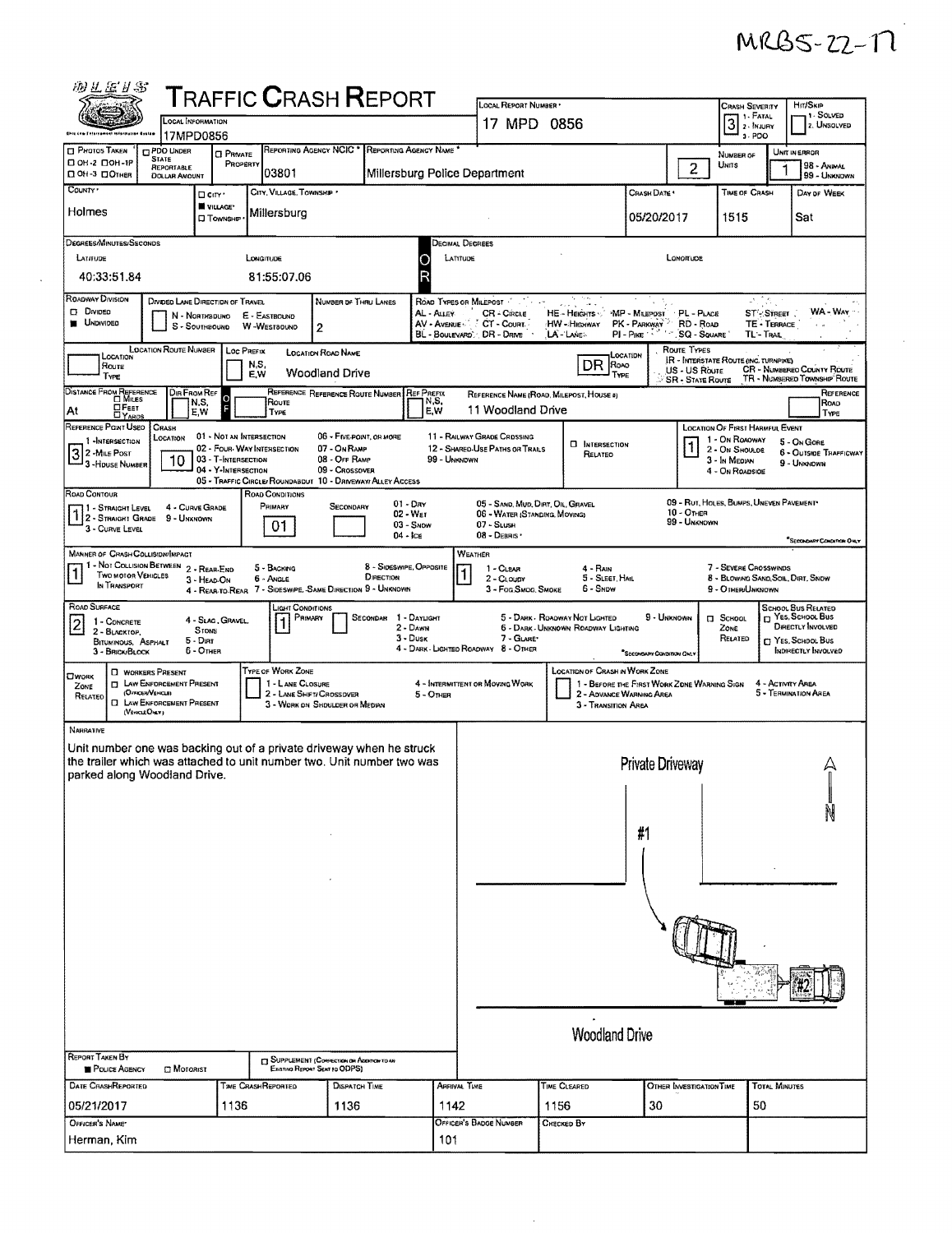| 羽兰运扩新                                                                                                                          |                                                                                                                                           |                                                                        |                                        | TRAFFIC <b>C</b> RASH <b>R</b> EPORT                                                                                                           |                                                          |                                                                                                                                                                                                                                                                                                                                               |                                                                                          |                                                               |                                                                                                                |                                                                                  |                                                                   |  |  |
|--------------------------------------------------------------------------------------------------------------------------------|-------------------------------------------------------------------------------------------------------------------------------------------|------------------------------------------------------------------------|----------------------------------------|------------------------------------------------------------------------------------------------------------------------------------------------|----------------------------------------------------------|-----------------------------------------------------------------------------------------------------------------------------------------------------------------------------------------------------------------------------------------------------------------------------------------------------------------------------------------------|------------------------------------------------------------------------------------------|---------------------------------------------------------------|----------------------------------------------------------------------------------------------------------------|----------------------------------------------------------------------------------|-------------------------------------------------------------------|--|--|
| this top felompaget information Gestam                                                                                         |                                                                                                                                           | <b>LOCAL INFORMATION</b><br>17MPD0856                                  |                                        |                                                                                                                                                |                                                          | LOCAL REPORT NUMBER *<br>17 MPD 0856                                                                                                                                                                                                                                                                                                          |                                                                                          |                                                               | Crash Severity<br>$31. F$ Fatal<br>3-PDO                                                                       | Hrt/Skip<br>1 - Solved<br>2. UNSOLVED                                            |                                                                   |  |  |
| <b>CI PHOTOS TAKEN</b><br>□ 0Н-2 □ 0Н-1Р<br><b>Д 0Н-3 ДОТНЕР</b>                                                               | <b>CIPDO UNDER</b><br><b>STATE</b><br>REPORTABLE<br><b>DOLLAR AMOUNT</b>                                                                  | <b>O</b> PRIVATE<br>PROPERTY                                           | 03801                                  | <b>REPORTING AGENCY NCIC *</b>                                                                                                                 | REPORTING AGENCY NAME                                    | Millersburg Police Department                                                                                                                                                                                                                                                                                                                 |                                                                                          |                                                               | NUMBER OF<br>$\overline{2}$<br>Unns                                                                            |                                                                                  | <b>UNIT IN ERROR</b><br>98 - ANMAL<br>99 - UNKNOWN                |  |  |
| County '<br>Holmes                                                                                                             |                                                                                                                                           | □ ciry ·<br><b>W</b> VILLAGE<br><b>O</b> Township                      | CITY, VILLAGE, TOWNSHIP<br>Millersburg |                                                                                                                                                |                                                          |                                                                                                                                                                                                                                                                                                                                               |                                                                                          | CRASH DATE<br>05/20/2017                                      | 1515                                                                                                           | TIME OF CRASH                                                                    | DAY OF WEEK<br>Sat                                                |  |  |
| DEGREES/MINUTES/SECONDS<br>LATITUDE<br>40:33:51.84                                                                             |                                                                                                                                           |                                                                        | LONGITUDE<br>81:55:07.06               |                                                                                                                                                |                                                          | Decimal Degrees<br>LATITUDE                                                                                                                                                                                                                                                                                                                   |                                                                                          |                                                               | LONOMUDE                                                                                                       |                                                                                  |                                                                   |  |  |
| ROADWAY DIVISION<br><b>D</b> Divideo<br><b>B</b> UNDIVIDED                                                                     |                                                                                                                                           | DIVIDED LANE DIRECTION OF TRAVEL<br>N - Northbound<br>S - SOUTHBOUND   | E - EASTBOUND<br>W-WESTBOUND           | NUMBER OF THRU LANES<br>2                                                                                                                      | AL - ALLEY                                               | ROAD TYPES OR MILEPOST<br>CR - Circue<br>AV - Avenue / CT - Court<br>BL - BOULEVARD: DR - DRIVE                                                                                                                                                                                                                                               | HE-Heights<br>HW - Highway<br>LA LANE.                                                   | MP - MILEPOST PL - PLACE<br>PK - PARKWAY<br>PI - Pike 158 178 | RD - Road<br><b>SQ - SQUARE</b>                                                                                | 计流动<br>ST-STREET<br>TE - TERRACE<br>TL'- Trail                                   | WA - War                                                          |  |  |
| LOCATION<br>Route<br>TYPE                                                                                                      | <b>LOCATION ROUTE NUMBER</b>                                                                                                              |                                                                        | Loc PREFIX<br>N,S,<br>E.W              | <b>LOCATION ROAD NAME</b><br>Woodland Drive                                                                                                    |                                                          |                                                                                                                                                                                                                                                                                                                                               | DR<br><b>ROAO</b><br>TYPE                                                                | Location                                                      | Route Types<br>IR - INTERSTATE ROUTE (INC. TURNPIKE)<br>US - US Route<br><b>SR - STATE ROUTE</b>               |                                                                                  | <b>CR - NUMBEREO COUNTY ROUTE</b><br>TR - NUMBERED TOWNSHIP ROUTE |  |  |
| DISTANCE FROM REFERENCE<br>⊡ Еевт<br>At<br><b>DYARDS</b>                                                                       | DIR FROM REF                                                                                                                              | Ю<br>N,S,<br>E,W                                                       | Route<br><b>TYPE</b>                   | REFERENCE REFERENCE ROUTE NUMBER REF PREFIX                                                                                                    | N,S,<br>E,W                                              | 11 Woodland Drive                                                                                                                                                                                                                                                                                                                             | REFERENCE NAME (ROAD, MILEPOST, HOUSE 0)                                                 |                                                               |                                                                                                                |                                                                                  | REFERENCE<br>ROAD<br>TYPE                                         |  |  |
| REFERENCE POINT USEO<br>1 -INTERSECTION<br>$3^2$ -Mile Post<br>3 - HOUSE NUMBER                                                | CRASH<br>LOCATION<br>10                                                                                                                   | 01 - NOT AN INTERSECTION<br>03 - T-INTERSECTION<br>04 - Y-INTERSECTION | 02 - FOUR WAY INTERSECTION             | 06 - FIVE POINT, OR MORE<br>07 - On Raup<br>08 - Off RAMP<br>09 - Crossover<br>05 - TRAFFIC CIRCLE/ ROUNDABDUT 10 - DRIVEWAY/ ALLEY ACCESS     | 99 - UNKNDWN                                             | 11 - RAILWAY GRADE CRDSSING<br>12 - SHARED-USE PATHS OR TRAILS                                                                                                                                                                                                                                                                                | <b>INTERSECTION</b><br>Relateo                                                           |                                                               | <b>LOCATION OF FIRST HARMFUL EVENT</b><br>1 - On ROADWAY<br>2 - ON SHOULDE<br>3 - In Median<br>4 - ON ROADSIDE |                                                                                  | 5 - On Gone<br>6 - OUTSIDE TRAFFICWAY<br>9 - UNKNOWN              |  |  |
| ROAD CONTOUR<br>71 - Straight Level<br>1 2 - STRAIGHT GRADE 9 - UNKNOWN<br>3 - CURVE LEVEL                                     |                                                                                                                                           | 4 - CURVE GRADE                                                        | ROAD CONDITIONS<br>PRIMARY<br>01       | SECONDARY                                                                                                                                      | $01 - \text{Div}$<br>02 - Wer<br>$03 -$ SNOW<br>04 - Ice | 05 - SAND, MUD, DIRT, OIL, GRAVEL<br>06 - WATER (STANDING, MOVING)<br>$07 -$ Stush<br>$08 -$ DEBRIS                                                                                                                                                                                                                                           |                                                                                          |                                                               | 09 - RUT, HOLES, BUMPS, UNEVEN PAVEMENT*<br>$10 -$ OTHER<br>99 - UNKNOWN                                       |                                                                                  | "SECONDARY CONDITION ONLY                                         |  |  |
| <b>MANNER OF CRASH COLLISION/IMPACT</b><br>1 - Not Collision Between 2 - Rear-End<br><b>TWO MOTOR VEHICLES</b><br>IN TRANSPORT |                                                                                                                                           | 3 - HEAD-ON                                                            | 5 - BACKING<br>6 - Ancle               | DIRECTION<br>4 - REAR-TO-REAR 7 - SIDESWIPE, SAME DIRECTION 9 - UNKNOWN                                                                        | 8 - Sideswipe, Opposite                                  | WEATHER<br>1 - Clear<br>2 - CLOUDY<br>3 - Fog, SMOG, SMOKE                                                                                                                                                                                                                                                                                    | 4 - RAIN<br>5 - SLEET, HAIL<br>6 - SNDW                                                  |                                                               |                                                                                                                | 7 - SEVERE CROSSWINDS<br>8 - BLOWING SAND, SOIL, DIRT, SNOW<br>9 - OTHER/UNKNOWN |                                                                   |  |  |
| ROAD SURFACE<br>1 - CONCRETE<br>$\boldsymbol{2}$<br>2 - BLACKTOP,<br>BITUMINOUS, ASPHALT<br>3 - Brick/Block                    |                                                                                                                                           | 4 - Slag, Gravel,<br>STONE<br>$5 -$ Dını<br>6 - OTHER                  | LIGHT CONDITIONS<br>PRIMARY<br>1       | SECONDAR 1 - DAYLIGHT                                                                                                                          | 2 - Dawn<br>$3 - D$ usk                                  | <b>SCHOOL BUS RELATED</b><br><sup>T</sup> Yes, School Bus<br>5 - DARK - ROADWAY NOT LIGHTED<br>9 - UNKNOWN<br><b>El School</b><br>DIRECTLY INVOLVED<br>6 - DARK - UNKNOWN ROADWAY LIGHTING<br>ZONE<br>7 - GLARE*<br>RELATED<br>CJ YES, SCHOOL BUS<br>4 - DARK - LIGHTED ROADWAY 8 - OTHER<br>INDIRECTLY INVOLVED<br>"SECONDARY CONDITION ONLY |                                                                                          |                                                               |                                                                                                                |                                                                                  |                                                                   |  |  |
| <b>CIWORK</b><br>ZONE<br>RELATED                                                                                               | <b>D</b> WORKERS PRESENT<br><b>IT LAW ENFORCEMENT PRESENT</b><br>(OFFICER/VEHICLE)<br><b>CI LAW ENFORCEMENT PRESENT</b><br>(VEHICLE OVER) |                                                                        | TYPE OF WORK ZONE<br>1 - LANE CLOSURE  | 2 - LANE SHIFT/ CROSSOVER<br>3 - WORK ON SHOULDER OR MEDIAN                                                                                    | $5 -$ OTHER                                              | 4 - INTERMITTENT OR MOVING WORK                                                                                                                                                                                                                                                                                                               | <b>LOCATION OF CRASH IN WORK ZONE</b><br>2 - ADVANCE WARNING AREA<br>3 - Transition Area |                                                               | 1 - BEFORE THE FIRST WORK ZONE WARNING SIGN                                                                    | 4 - ACTIVITY AREA                                                                | 5 - Termination Area                                              |  |  |
| NARRATNE<br>parked along Woodland Drive.                                                                                       |                                                                                                                                           |                                                                        |                                        | Unit number one was backing out of a private driveway when he struck<br>the trailer which was attached to unit number two. Unit number two was |                                                          |                                                                                                                                                                                                                                                                                                                                               |                                                                                          | Private Driveway<br>#1                                        |                                                                                                                |                                                                                  |                                                                   |  |  |
|                                                                                                                                |                                                                                                                                           |                                                                        |                                        |                                                                                                                                                |                                                          |                                                                                                                                                                                                                                                                                                                                               |                                                                                          |                                                               |                                                                                                                |                                                                                  |                                                                   |  |  |
|                                                                                                                                |                                                                                                                                           |                                                                        |                                        |                                                                                                                                                |                                                          |                                                                                                                                                                                                                                                                                                                                               |                                                                                          |                                                               |                                                                                                                |                                                                                  |                                                                   |  |  |
| <b>REPORT TAKEN BY</b><br>POLICE AGENCY                                                                                        | <b>D</b> MOTORIST                                                                                                                         |                                                                        |                                        | <b>CJ</b> SUPPLEMENT (CORRECTION ON ADDROXYOUN<br>Existing Report Sent to ODPS)                                                                |                                                          |                                                                                                                                                                                                                                                                                                                                               | <b>Woodland Drive</b>                                                                    |                                                               |                                                                                                                |                                                                                  |                                                                   |  |  |
| <b>DATE CRASHREPORTED</b>                                                                                                      |                                                                                                                                           |                                                                        | TIME CRASHREPORTED                     | <b>DISPATCH TIME</b>                                                                                                                           |                                                          | ARRIVAL TIME                                                                                                                                                                                                                                                                                                                                  | TIME CLEARED                                                                             |                                                               | OTHER INVESTIGATION TIME                                                                                       | <b>TOTAL MINUTES</b>                                                             |                                                                   |  |  |
| 05/21/2017                                                                                                                     |                                                                                                                                           | 1136                                                                   |                                        | 1136                                                                                                                                           | 1142                                                     |                                                                                                                                                                                                                                                                                                                                               | 1156                                                                                     | 30                                                            |                                                                                                                | 50                                                                               |                                                                   |  |  |
| OFFICER'S NAME*<br>Herman, Kim                                                                                                 |                                                                                                                                           |                                                                        |                                        |                                                                                                                                                | 101                                                      | OFFICER'S BADGE NUMBER                                                                                                                                                                                                                                                                                                                        | Снескер Ву                                                                               |                                                               |                                                                                                                |                                                                                  |                                                                   |  |  |

 $\ddot{\phantom{a}}$ 

MRB5-22-17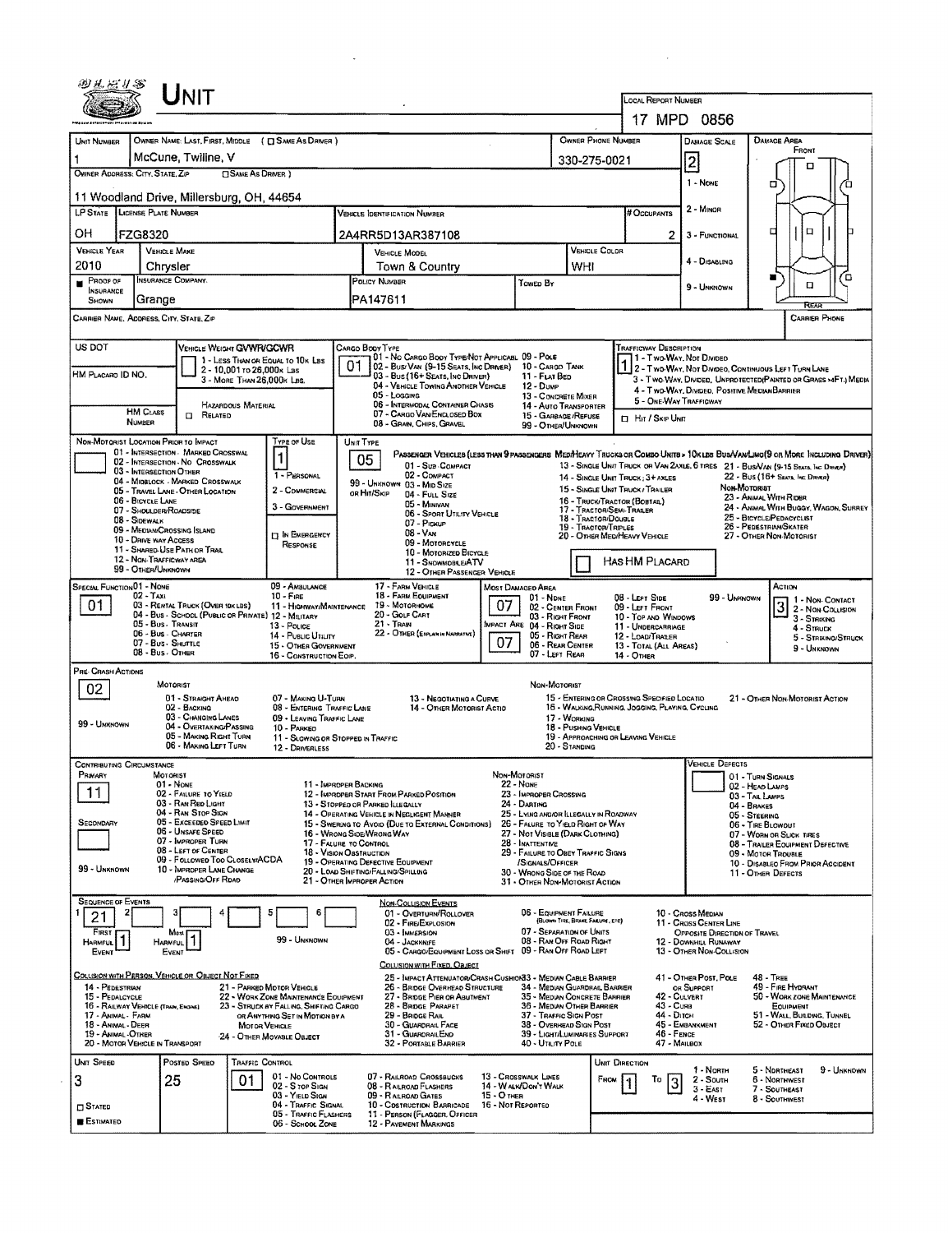|                                                        | <b>NIT</b>                                                                              |                                                                                |                                                                                                 |                                                                                                                                                       |                                                                       |                                 |                                                                                                                           |                                                        |                                                        |                                                                                                                              |  |  |  |  |
|--------------------------------------------------------|-----------------------------------------------------------------------------------------|--------------------------------------------------------------------------------|-------------------------------------------------------------------------------------------------|-------------------------------------------------------------------------------------------------------------------------------------------------------|-----------------------------------------------------------------------|---------------------------------|---------------------------------------------------------------------------------------------------------------------------|--------------------------------------------------------|--------------------------------------------------------|------------------------------------------------------------------------------------------------------------------------------|--|--|--|--|
|                                                        |                                                                                         |                                                                                |                                                                                                 |                                                                                                                                                       |                                                                       |                                 | LOCAL REPORT NUMBER                                                                                                       | 17 MPD 0856                                            |                                                        |                                                                                                                              |  |  |  |  |
|                                                        |                                                                                         |                                                                                |                                                                                                 |                                                                                                                                                       |                                                                       | OWNER PHONE NUMBER              |                                                                                                                           |                                                        |                                                        | <b>DAMAGE AREA</b>                                                                                                           |  |  |  |  |
| UNIT NUMBER                                            | OWNER NAME: LAST, FIRST, MIDDLE ( C SAME AS DRIVER )<br>McCune, Twiline, V              |                                                                                |                                                                                                 |                                                                                                                                                       |                                                                       |                                 |                                                                                                                           | <b>DAMAGE SCALE</b>                                    |                                                        | Front                                                                                                                        |  |  |  |  |
| OWNER ADDRESS: CITY, STATE, ZIP                        |                                                                                         | <b>CISAME AS DRIVER</b> )                                                      |                                                                                                 |                                                                                                                                                       |                                                                       | 330-275-0021                    |                                                                                                                           | $\overline{2}$                                         |                                                        | o                                                                                                                            |  |  |  |  |
|                                                        | 11 Woodland Drive, Millersburg, OH, 44654                                               |                                                                                |                                                                                                 |                                                                                                                                                       |                                                                       |                                 |                                                                                                                           | 1 - NONE                                               |                                                        | о                                                                                                                            |  |  |  |  |
| LP STATE LICENSE PLATE NUMBER                          |                                                                                         |                                                                                | <b>VEHICLE IDENTIFICATION NUMBER</b>                                                            |                                                                                                                                                       |                                                                       |                                 | # OCCUPANTS                                                                                                               | 2 - MINOR                                              |                                                        |                                                                                                                              |  |  |  |  |
| он<br>FZG8320                                          |                                                                                         |                                                                                | 2A4RR5D13AR387108                                                                               | 2                                                                                                                                                     | 3 - FUNCTIONAL                                                        |                                 | □<br>O                                                                                                                    |                                                        |                                                        |                                                                                                                              |  |  |  |  |
| VEHICLE YEAR                                           | <b>VEHICLE MAKE</b>                                                                     |                                                                                | VEHICLE MODEL                                                                                   | VEHICLE COLOR                                                                                                                                         |                                                                       |                                 |                                                                                                                           |                                                        |                                                        |                                                                                                                              |  |  |  |  |
| 2010                                                   | Chrysler                                                                                |                                                                                |                                                                                                 | Town & Country<br>WHI                                                                                                                                 |                                                                       |                                 |                                                                                                                           | 4 - Disabling                                          |                                                        | ้ต                                                                                                                           |  |  |  |  |
| PROOF OF<br><b>INSURANCE</b>                           | INSURANCE COMPANY.                                                                      |                                                                                | POLICY NUMBER                                                                                   |                                                                                                                                                       | Tower By                                                              |                                 |                                                                                                                           | 9 - Unknown                                            |                                                        | п                                                                                                                            |  |  |  |  |
| SHOWN<br>CARRIER NAME, ADDRESS, CITY, STATE, ZIP       | Grange                                                                                  |                                                                                | PA147611                                                                                        |                                                                                                                                                       |                                                                       |                                 |                                                                                                                           |                                                        |                                                        | RFA<br><b>CARRIER PHONE</b>                                                                                                  |  |  |  |  |
|                                                        |                                                                                         |                                                                                |                                                                                                 |                                                                                                                                                       |                                                                       |                                 |                                                                                                                           |                                                        |                                                        |                                                                                                                              |  |  |  |  |
| US DOT                                                 | <b>VEHICLE WEIGHT GVWR/GCWR</b>                                                         |                                                                                | CARGO BOOY TYPE<br>01 - No Cargo Body Type/Not Applicabl 09 - Pole                              |                                                                                                                                                       |                                                                       |                                 | TRAFFICWAY DESCRIPTION                                                                                                    | 1 - Two-Way, Not Divideo                               |                                                        |                                                                                                                              |  |  |  |  |
| HM PLACARO ID NO.                                      | 2 - 10,001 to 26,000x Las                                                               | 1 - LESS THAN OR EQUAL TO 10K LBS                                              | 01<br>02 - Bus/Van (9-15 Seats, Inc Driver) 10 - Cargo Tank<br>03 - Bus (16+ Seats, Inc DRIVER) |                                                                                                                                                       | 11 - FLAT BED                                                         |                                 |                                                                                                                           |                                                        |                                                        | 2 - Two-Way, Not Divideo, Continuous Left Turn Lane                                                                          |  |  |  |  |
|                                                        | 3 - MORE THAN 26,000K LBS.                                                              |                                                                                | 04 - VEHICLE TOWING ANOTHER VEHICLE<br>05 - Logging                                             |                                                                                                                                                       | 12 - Dump<br>13 - CONCRETE MIXER                                      |                                 |                                                                                                                           | 4 - Two-WAY, DIVIDED, POSITIVE MEDIAN BARRIER          |                                                        | 3 - Two-WAY, DIVIDED, UNPROTECTED (PAINTED OR GRASS >4FT.) MEDIA                                                             |  |  |  |  |
| <b>HM CLASS</b>                                        | HAZARDOUS MATERIAL<br>$\Box$ Related                                                    |                                                                                | <b>06 - INTERMODAL CONTAINER CHASIS</b><br>07 - CARGO VAN ENCLOSED BOX                          |                                                                                                                                                       | 14 - AUTO TRANSPORTER<br>15 - GARBAGE / REFUSE                        |                                 |                                                                                                                           | 5 - ONE-WAY TRAFFICWAY                                 |                                                        |                                                                                                                              |  |  |  |  |
| NUMBER                                                 |                                                                                         |                                                                                | 08 - GRAIN, CHIPS, GRAVEL                                                                       |                                                                                                                                                       | 99 - OTHER/UNKNOWN                                                    |                                 | □ Hit / Skip Unit                                                                                                         |                                                        |                                                        |                                                                                                                              |  |  |  |  |
| NON-MOTORIST LOCATION PRIOR TO IMPACT                  | 01 - INTERSECTION - MARKED CROSSWAL                                                     | TYPE OF USE                                                                    | UNIT TYPE                                                                                       |                                                                                                                                                       |                                                                       |                                 |                                                                                                                           |                                                        |                                                        | PASSENGER VEHICLES (LESS THAN 9 PASSENGERS MEDIMEAVY TRUCKS OR COMBO UNITS > 10KLBS BUS/VAM/LIMO(9 OR MORE INCLUDING DRIVER) |  |  |  |  |
|                                                        | 02 - INTERSECTION - NO CROSSWALK<br>03 - INTERSECTION OTHER                             | 1<br>1 - PERSONAL                                                              | 05<br>01 - Sub COMPACT<br>02 - COMPACT                                                          |                                                                                                                                                       |                                                                       |                                 |                                                                                                                           |                                                        |                                                        | 13 - SINGLE UNIT TRUCK OR VAN ZAXLE, 6 TIRES 21 - BUS/VAN (9-15 SEATS, INC DRIVER)                                           |  |  |  |  |
|                                                        | 04 - MIDBLOCK - MARKED CROSSWALK<br>05 - TRAVEL LANE - OTHER LOCATION                   | 2 - COMMERCIAL                                                                 | 99 - UNKNOWN 03 - MID SIZE<br>OR HIT/SKIP<br>04 - FULL SIZE                                     |                                                                                                                                                       |                                                                       |                                 | 22 - Bus (16+ Sears, Inc. Driver)<br>14 - SINGLE UNIT TRUCK: 3+ AXLES<br>Non-Motorist<br>15 - SINGLE UNIT TRUCK / TRAILER |                                                        |                                                        |                                                                                                                              |  |  |  |  |
| 06 - BICYCLE LANE                                      | 07 - SHOULDER/ROADSIDE                                                                  | 3 - GOVERNMENT                                                                 | 05 - MINIVAN                                                                                    | 16 - TRUCK/TRACTOR (BOBTAIL)<br>17 - TRACTOR/SEMI-TRAILER<br>06 - Sport UTILITY VEHICLE<br>18 - TRACTOR/DOUBLE<br>07 - Pickup<br>19 - Tractor/Triples |                                                                       |                                 |                                                                                                                           |                                                        |                                                        | 23 - ANIMAL WITH RIDER<br>24 - ANIMAL WITH BUGGY, WAGON, SURREY<br>25 - BICYCLE/PEDACYCLIST<br>26 - PEDESTRIAN/SKATER        |  |  |  |  |
| 08 - Sidewalk                                          | 09 - MEDIAN/CROSSING ISLAND                                                             | <b>IT IN EMERGENCY</b>                                                         | $08 - V_{AM}$                                                                                   |                                                                                                                                                       |                                                                       |                                 |                                                                                                                           |                                                        |                                                        |                                                                                                                              |  |  |  |  |
|                                                        | 10 - DRIVE WAY ACCESS<br>11 - SHARED-USE PATH OR TRAS                                   | RESPONSE                                                                       | 09 - MOTORCYCLE<br>10 - MOTORIZED BICYCLE                                                       | 20 - OTHER MEDIMEAVY VEHICLE<br>27 - OTHER NON-MOTORIST                                                                                               |                                                                       |                                 |                                                                                                                           |                                                        |                                                        |                                                                                                                              |  |  |  |  |
| 99 - OTHER/UNKNOWN                                     | 12 - NON-TRAFFICWAY AREA                                                                |                                                                                | 11 - SNOWMOBLE/ATV                                                                              | 12 - OTHER PASSENGER VEHICLE                                                                                                                          |                                                                       |                                 | HAS HM PLACARD                                                                                                            |                                                        |                                                        |                                                                                                                              |  |  |  |  |
| SPECIAL FUNCTION 01 - NONE<br>$02 - T_{AM}$            |                                                                                         | 09 - AMBULANCE<br>$10 -$ Fine                                                  | 17 - FARM VEHICLE<br>18 - FARM EQUIPMENT                                                        |                                                                                                                                                       | MOST DAMAGED AREA                                                     |                                 |                                                                                                                           |                                                        |                                                        | ACTION                                                                                                                       |  |  |  |  |
| 01                                                     | 03 - RENTAL TRUCK (OVER 10K LBS)<br>04 - BUS - SCHOOL (PUBLIC OR PRIVATE) 12 - MILITARY | 11 - HIGHWAY/MAINTENANCE                                                       | 19 - MOTORHOME<br>20 - GOLF CART                                                                | 07                                                                                                                                                    | $01 - None$<br>02 - CENTER FRONT                                      |                                 | 08 - LEFT SIDE<br>09 - LEFT FRONT                                                                                         |                                                        | 99 - UNKNOWN                                           | 3 2 - Non-Contact                                                                                                            |  |  |  |  |
|                                                        | 05 - Bus - Transit<br>06 - Bus - Charter                                                | 13 - Pouce                                                                     | 21 - Tran<br>22 - OTHER (EXPLAN IN NARRATIVE)                                                   |                                                                                                                                                       | 03 - Right Front<br>MPACT ARE 04 - RIGHT SIDE<br>05 - Right Rear      |                                 | 10 - TOP AND WINDOWS<br>11 - UNDERCARRIAGE                                                                                |                                                        |                                                        | 3 - STRIKING<br>4 - STRUCK                                                                                                   |  |  |  |  |
|                                                        | 07 - Bus - SHUTTLE<br>08 - Bus - OTHER                                                  | 14 - PUBLIC UTILITY<br>15 - OTHER GOVERNMENT<br>16 - CONSTRUCTION EOIP.        |                                                                                                 | 07                                                                                                                                                    | 06 - REAR CENTER<br>07 - LEFT REAR                                    |                                 | 12 - LOAD/TRALER<br>13 - TOTAL (ALL AREAS)<br>14 - Отнев                                                                  |                                                        |                                                        | 5 - STRIKING/STRUCK<br>9 - Unknown                                                                                           |  |  |  |  |
| <b>PRE-CRASH ACTIONS</b>                               |                                                                                         |                                                                                |                                                                                                 |                                                                                                                                                       |                                                                       |                                 |                                                                                                                           |                                                        |                                                        |                                                                                                                              |  |  |  |  |
| 02                                                     | <b>MOTORIST</b>                                                                         |                                                                                |                                                                                                 |                                                                                                                                                       | NON-MOTORIST                                                          |                                 |                                                                                                                           |                                                        |                                                        |                                                                                                                              |  |  |  |  |
|                                                        | 01 - STRAIGHT AHEAD<br>02 - BACKING<br>03 - CHANGING LANES                              | 07 - MAKING U-TURN<br>08 - ENTERING TRAFFIC LANE                               | 13 - Negotiating a Curve<br>14 - OTHER MOTORIST ACTIO                                           | 15 - ENTERING OR CROSSING SPECIFIED LOCATIO<br>21 - OTHER NON-MOTORIST ACTION<br>16 - WALKING, RUNNING, JOGGING, PLAYING, CYCLING                     |                                                                       |                                 |                                                                                                                           |                                                        |                                                        |                                                                                                                              |  |  |  |  |
| 99 - UNXNOWN                                           | 04 - OVERTAKING/PASSING<br>05 - MAKING RIGHT TURN                                       | 09 - LEAVING TRAFFIC LANE<br>10 - PARKEO                                       |                                                                                                 | 18 - PUSHING VEHICLE                                                                                                                                  |                                                                       |                                 |                                                                                                                           |                                                        |                                                        |                                                                                                                              |  |  |  |  |
|                                                        | 06 - MAKING LEFT TURN                                                                   | 12 - DRIVERLESS                                                                | 11 - SLOWING OR STOPPED IN TRAFFIC                                                              |                                                                                                                                                       |                                                                       | 20 - Standing                   | 19 - APPROACHING OR LEAVING VEHICLE                                                                                       |                                                        |                                                        |                                                                                                                              |  |  |  |  |
| <b>CONTRIBUTING CIRCUMSTANCE</b><br>PRIMARY            | MOTORIST                                                                                |                                                                                |                                                                                                 |                                                                                                                                                       | Non-MOTORIST                                                          |                                 |                                                                                                                           | VEHICLE DEFECTS                                        |                                                        |                                                                                                                              |  |  |  |  |
| 11                                                     | 01 - NONE<br>02 - FAILURE TO YIELD                                                      |                                                                                | 11 - IMPROPER BACKING<br>12 - IMPROPER START FROM PARKED POSITION                               |                                                                                                                                                       | <b>22 - NONE</b><br>23 - IMPROPER CROSSING                            |                                 |                                                                                                                           |                                                        | 01 - TURN SIGNALS<br>02 - HEAD LAMPS                   |                                                                                                                              |  |  |  |  |
|                                                        | 03 - RAN RED LIGHT<br>04 - RAN STOP SIGN                                                |                                                                                | 13 - STOPPED OR PARKED LLEGALLY<br>14 - Operating Vehicle in Negligent Manner                   |                                                                                                                                                       | 24 - DARTING<br>25 - LYING AND/OR ELEGALLY IN ROADWAY                 |                                 |                                                                                                                           |                                                        | 03 - TAIL LAMPS<br><b>D4 - BRAKES</b><br>05 - STEERING |                                                                                                                              |  |  |  |  |
| SECONDARY                                              | 05 - Exceeded Speed Limit<br>06 - UNSAFE SPEED                                          |                                                                                | 15 - Swering to Avoid (DUE to External Conditions)<br>16 - Wrong Side/Wrong Way                 |                                                                                                                                                       | 26 - FALURE TO YIELD RIGHT OF WAY<br>27 - Not Visible (Dark Clothing) |                                 |                                                                                                                           |                                                        | 06 - TIRE BLOWOUT                                      | 07 - WORN OR SLICK TIRES                                                                                                     |  |  |  |  |
|                                                        | 07 - IMPROPER TURN<br>08 - LEFT OF CENTER                                               |                                                                                | 17 - FALURE TO CONTROL<br>18 - VISION OBSTRUCTION                                               |                                                                                                                                                       | 28 - INATTENTME<br>29 - FAILURE TO OBEY TRAFFIC SIGNS                 |                                 |                                                                                                                           |                                                        | 09 MOTOR TROUBLE                                       | 08 - TRAILER EQUIPMENT DEFECTIVE                                                                                             |  |  |  |  |
| 99 - UNKNOWN                                           | 09 - FOLLOWED TOO CLOSELY/ACDA<br>10 - IMPROPER LANE CHANGE                             |                                                                                | 19 - OPERATING DEFECTIVE EQUIPMENT<br>20 - LOAD SHIFTING/FALLING/SPILLING                       |                                                                                                                                                       | /SIGNALS/OFFICER<br>30 - WRONG SIDE OF THE ROAD                       |                                 |                                                                                                                           |                                                        | 11 - OTHER DEFECTS                                     | 10 - DISABLEQ FROM PRIOR ACCIDENT                                                                                            |  |  |  |  |
|                                                        | /PASSING/OFF ROAD                                                                       |                                                                                | 21 - OTHER IMPROPER ACTION                                                                      |                                                                                                                                                       | 31 - OTHER NON-MOTORIST ACTION                                        |                                 |                                                                                                                           |                                                        |                                                        |                                                                                                                              |  |  |  |  |
| <b>SEQUENCE OF EVENTS</b>                              |                                                                                         | 6<br>Е                                                                         | <b>NON-COLLISION EVENTS</b><br>01 - Overturn/Rollover                                           |                                                                                                                                                       | 06 - EQUIPMENT FAILURE                                                |                                 |                                                                                                                           | 10 - Cross Median                                      |                                                        |                                                                                                                              |  |  |  |  |
| 21<br>FIRST                                            | Most                                                                                    |                                                                                | 02 - FIRE/EXPLOSION<br>03 - IMMERSION                                                           |                                                                                                                                                       | 07 - SEPARATION OF UNITS                                              | (BLOWN TIRE, BRAKE FA&URE, ETC) |                                                                                                                           | 11 - CROSS CENTER LINE<br>OPPOSITE DIRECTION OF TRAVEL |                                                        |                                                                                                                              |  |  |  |  |
| HARMFUL<br>EVENT                                       | <b>HARMFUL</b><br>EVENT                                                                 | 99 UNKNOWN                                                                     | 04 - JACKKNIFE<br>05 - CARGO/EQUIPMENT LOSS OR SHIFT 09 - RAN OFF ROAD LEFT                     |                                                                                                                                                       | 08 - RAN OFF ROAD RIGHT                                               |                                 |                                                                                                                           | 12 - DOWNHILL RUNAWAY<br>13 - OTHER NON-COLLISION      |                                                        |                                                                                                                              |  |  |  |  |
|                                                        |                                                                                         |                                                                                | COLLISION WITH FIXED, OBJECT                                                                    |                                                                                                                                                       |                                                                       |                                 |                                                                                                                           |                                                        |                                                        |                                                                                                                              |  |  |  |  |
| 14 - PEDESTRIAN                                        | COLLISION WITH PERSON, VEHICLE OR OBJECT NOT FIXED                                      | 21 - PARKED MOTOR VEHICLE                                                      | 25 - IMPACT ATTENUATOR/CRASH CUSHION33 - MEDIAN CABLE BARRIER<br>26 - BRIDGE OVERHEAD STRUCTURE |                                                                                                                                                       | 34 - MEDIAN GUARDRAIL BARRIER                                         |                                 |                                                                                                                           | 41 - OTHER POST, POLE<br>OR SUPPORT                    |                                                        | <b>48 - TREE</b><br>49 - FIRE HYDRANT                                                                                        |  |  |  |  |
| 15 - PEDALCYCLE<br>16 - RAILWAY VEHICLE (TRAN, ENGINE) |                                                                                         | 22 - WORK ZONE MAINTENANCE EQUIPMENT<br>23 - STRUCK BY FALLING, SHIFTING CARGO | 27 - BRIDGE PIER OR ABUTMENT<br>28 - BRIDGE PARAPET                                             |                                                                                                                                                       | 35 - MEDIAN CONCRETE BARRIER<br>36 - MEDIAN OTHER BARRIER             |                                 |                                                                                                                           | 42 - Culvert<br>43 - Cuna                              |                                                        | 50 - WORK ZONE MAINTENANCE<br>EQUIPMENT                                                                                      |  |  |  |  |
| 17 - ANIMAL - FARM<br>18 - Andia - Deer                |                                                                                         | OR ANYTHING SET IN MOTION BY A<br>MOTOR VEHICLE                                | 29 - Bridge Rail<br>30 - GUARDRAIL FACE                                                         |                                                                                                                                                       | 37 - TRAFFIC SIGN POST<br>38 - OVERHEAD SIGN POST                     |                                 |                                                                                                                           | 44 - Олсн<br>45 - Embankment                           |                                                        | 51 - WALL, BUILDING, TUNNEL<br>52 - OTHER FIXED OBJECT                                                                       |  |  |  |  |
| 19 - ANIMAL OTHER<br>20 - MOTOR VEHICLE IN TRANSPORT   |                                                                                         | 24 - OTHER MOVABLE OBJECT                                                      | 31 - GUARDRAILEND<br>32 - PORTABLE BARRIER                                                      |                                                                                                                                                       | 39 - LIGHT/LUMINARIES SUPPORT<br>40 - UTILITY POLE                    |                                 |                                                                                                                           | 46 - FENCE<br>47 - MAILBOX                             |                                                        |                                                                                                                              |  |  |  |  |
| UNIT SPEED                                             | POSTED SPEED                                                                            | <b>TRAFFIC CONTROL</b>                                                         |                                                                                                 |                                                                                                                                                       |                                                                       |                                 | UNIT DIRECTION                                                                                                            | 1 - North                                              |                                                        | 5 - NDRTHEAST<br>9 - UNKNOWN                                                                                                 |  |  |  |  |
| 3                                                      | 25<br>01                                                                                | 01 - No CONTROLS<br>02 - S TOP SIGN                                            | 07 - RAILROAD CROSSBUCKS<br>08 - RAILROAD FLASHERS                                              |                                                                                                                                                       | 13 - CROSSWALK LINES<br>14 - WALK/DON'T WALK                          |                                 | FROM<br>To                                                                                                                | 3<br>2 - South<br>$3 - East$                           |                                                        | 6 - NORTHWEST<br>7 - SOUTHEAST                                                                                               |  |  |  |  |
| $\square$ Stated                                       |                                                                                         | 03 - YIELD SIGN<br>04 - Traffic Signal                                         | 09 - RAILROAD GATES<br>10 - Costruction Barricade                                               | 15 - О тнея<br>16 - Not Reported                                                                                                                      |                                                                       |                                 |                                                                                                                           | 4 WEST                                                 |                                                        | 8 - Southwest                                                                                                                |  |  |  |  |
| <b>E</b> ESTIMATED                                     |                                                                                         | 05 - TRAFFIC FLASHERS<br>06 - SCHOOL ZONE                                      | 11 - PERSON (FLAGGER, OFFICER<br><b>12 - PAVEMENT MARKINGS</b>                                  |                                                                                                                                                       |                                                                       |                                 |                                                                                                                           |                                                        |                                                        |                                                                                                                              |  |  |  |  |
|                                                        |                                                                                         |                                                                                |                                                                                                 |                                                                                                                                                       |                                                                       |                                 |                                                                                                                           |                                                        |                                                        |                                                                                                                              |  |  |  |  |

 $\mathcal{L}^{\text{max}}_{\text{max}}$  , where  $\mathcal{L}^{\text{max}}_{\text{max}}$ 

 $\label{eq:2.1} \frac{1}{\sqrt{2}}\int_{\mathbb{R}^3}\frac{1}{\sqrt{2}}\left(\frac{1}{\sqrt{2}}\right)^2\frac{1}{\sqrt{2}}\left(\frac{1}{\sqrt{2}}\right)^2\frac{1}{\sqrt{2}}\left(\frac{1}{\sqrt{2}}\right)^2\frac{1}{\sqrt{2}}\left(\frac{1}{\sqrt{2}}\right)^2.$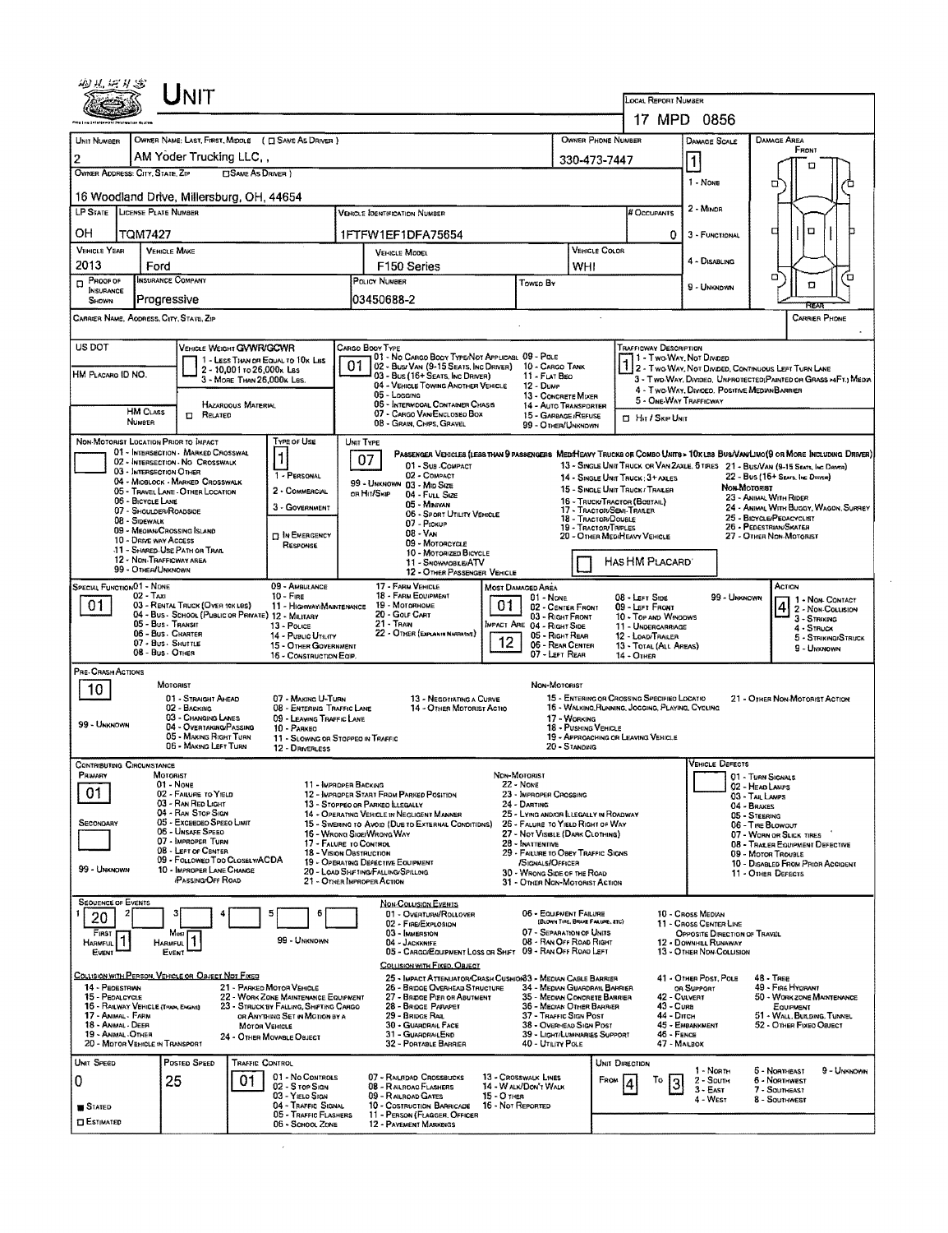|                                                                     |                                                                                                                                |                                                                                                                                                             |                                                                                                                                                  |                                                                                                                               |                                                                         |                                                                                                                                                                                                                 | <b>LOCAL REPORT NUMBER</b>                                                                                                                   |                                                                                                                                 |                                                                                                                                |  |  |  |
|---------------------------------------------------------------------|--------------------------------------------------------------------------------------------------------------------------------|-------------------------------------------------------------------------------------------------------------------------------------------------------------|--------------------------------------------------------------------------------------------------------------------------------------------------|-------------------------------------------------------------------------------------------------------------------------------|-------------------------------------------------------------------------|-----------------------------------------------------------------------------------------------------------------------------------------------------------------------------------------------------------------|----------------------------------------------------------------------------------------------------------------------------------------------|---------------------------------------------------------------------------------------------------------------------------------|--------------------------------------------------------------------------------------------------------------------------------|--|--|--|
|                                                                     |                                                                                                                                |                                                                                                                                                             |                                                                                                                                                  |                                                                                                                               |                                                                         |                                                                                                                                                                                                                 |                                                                                                                                              | 17 MPD 0856                                                                                                                     |                                                                                                                                |  |  |  |
| UNIT NUMBER                                                         |                                                                                                                                |                                                                                                                                                             | OWNER NAME: LAST, FIRST, MIDDLE ( C SAME AS DRIVER )                                                                                             |                                                                                                                               |                                                                         | OWNER PHONE NUMBER                                                                                                                                                                                              |                                                                                                                                              | <b>DAMAGE SCALE</b>                                                                                                             | <b>DAMAGE AREA</b><br>FRONT                                                                                                    |  |  |  |
| $\overline{2}$                                                      | OWNER ADDRESS: CITY, STATE, ZIP                                                                                                | AM Yoder Trucking LLC.,                                                                                                                                     | <b>CISAME AS DRIVER 1</b>                                                                                                                        |                                                                                                                               |                                                                         | 330-473-7447                                                                                                                                                                                                    |                                                                                                                                              | $\mathbf{1}$                                                                                                                    | п                                                                                                                              |  |  |  |
|                                                                     |                                                                                                                                | 16 Woodland Drive, Millersburg, OH, 44654                                                                                                                   |                                                                                                                                                  |                                                                                                                               |                                                                         |                                                                                                                                                                                                                 |                                                                                                                                              | 1 - NONE                                                                                                                        | o                                                                                                                              |  |  |  |
|                                                                     | LP STATE LICENSE PLATE NUMBER                                                                                                  |                                                                                                                                                             |                                                                                                                                                  | VEHICLE IDENTIFICATION NUMBER                                                                                                 |                                                                         |                                                                                                                                                                                                                 | <b># Occupants</b>                                                                                                                           | 2 MINDR                                                                                                                         |                                                                                                                                |  |  |  |
| ΟН                                                                  | <b>TQM7427</b>                                                                                                                 |                                                                                                                                                             |                                                                                                                                                  | 1FTFW1EF1DFA75654                                                                                                             |                                                                         |                                                                                                                                                                                                                 | 0                                                                                                                                            | 3 - FUNCTIONAL                                                                                                                  | □<br>о                                                                                                                         |  |  |  |
| <b>VEHICLE YEAR</b>                                                 | <b>VEHICLE MAKE</b>                                                                                                            |                                                                                                                                                             |                                                                                                                                                  | <b>VEHICLE MODEL</b>                                                                                                          |                                                                         | <b>VEHICLE COLOR</b>                                                                                                                                                                                            |                                                                                                                                              |                                                                                                                                 |                                                                                                                                |  |  |  |
| 2013                                                                | Ford                                                                                                                           |                                                                                                                                                             |                                                                                                                                                  | F <sub>150</sub> Series                                                                                                       |                                                                         | WHI                                                                                                                                                                                                             |                                                                                                                                              | 4 - DISABLING                                                                                                                   |                                                                                                                                |  |  |  |
| $D$ PROOF OF<br><b>INSURANCE</b>                                    | <b>INSURANCE COMPANY</b>                                                                                                       |                                                                                                                                                             |                                                                                                                                                  | POLICY NUMBER                                                                                                                 | TOWED BY                                                                |                                                                                                                                                                                                                 |                                                                                                                                              | 9 - Unknown                                                                                                                     | Έ<br>о<br>п                                                                                                                    |  |  |  |
| SHOWN                                                               | Progressive                                                                                                                    |                                                                                                                                                             |                                                                                                                                                  | 03450688-2                                                                                                                    |                                                                         |                                                                                                                                                                                                                 |                                                                                                                                              |                                                                                                                                 | RFA                                                                                                                            |  |  |  |
|                                                                     | CARRIER NAME, AODRESS, CITY, STATE, ZIP                                                                                        |                                                                                                                                                             |                                                                                                                                                  |                                                                                                                               |                                                                         |                                                                                                                                                                                                                 |                                                                                                                                              |                                                                                                                                 | <b>CARRIER PHONE</b>                                                                                                           |  |  |  |
| US DOT                                                              |                                                                                                                                | VEHICLE WEIGHT GVWR/GCWR                                                                                                                                    |                                                                                                                                                  | Cargo Booy Type                                                                                                               |                                                                         |                                                                                                                                                                                                                 | Trafficway Description                                                                                                                       |                                                                                                                                 |                                                                                                                                |  |  |  |
|                                                                     |                                                                                                                                | 2 - 10,001 to 26,000x Las                                                                                                                                   | 1 - LESS THAN OR EQUAL TO 10x LBS                                                                                                                | 01 - No Cargo Body Type/Not Applicable 09 - Pole<br>01<br>02 - Bus/ Van (9-15 Seats, Inc Driver)                              |                                                                         | 10 - Cargo Tank                                                                                                                                                                                                 | 1 - Two Way, Not Divided<br>7 2 - Two Way, Not Divided, Continuous Left Turn Lane                                                            |                                                                                                                                 |                                                                                                                                |  |  |  |
| HM PLACARO ID NO.                                                   |                                                                                                                                |                                                                                                                                                             | 3 - MORE THAN 25,000K LBS.                                                                                                                       | 03 - Bus (16+ Seats, Inc DRIVER)<br>04 - VEHICLE TOWING ANOTHER VEHICLE                                                       | 11 - FLAT BEO<br>12 - Dump                                              |                                                                                                                                                                                                                 |                                                                                                                                              | 4 - Two-WAY, DIVIDED, POSITIVE MEDIAN BARRIER                                                                                   | 3 - Two WAY, Divideo, UNPROTECTED (PAINTED OR GRASS >4FT.) MEDIA                                                               |  |  |  |
|                                                                     |                                                                                                                                | <b>HAZAROOUS MATERIAL</b>                                                                                                                                   |                                                                                                                                                  | 05 - Logging<br>05 - INTERMOOAL CONTAINER CHASIS                                                                              |                                                                         | 13 - CONCRETE MIXER<br>14 - AUTO TRANSPORTER                                                                                                                                                                    | 5 - ONE-WAY TRAFFICWAY                                                                                                                       |                                                                                                                                 |                                                                                                                                |  |  |  |
|                                                                     | <b>HM CLASS</b><br>NUMBER                                                                                                      | RELATED<br>$\Box$                                                                                                                                           |                                                                                                                                                  | 07 - CARGO VAN ENCLOSEO BOX<br>08 - GRAIN, CHIPS, GRAVEL                                                                      |                                                                         | 15 - GARBAGE /REFUSE<br>99 - OTHER/UNKNOWN                                                                                                                                                                      | <b>D</b> Hit / SKIP UNIT                                                                                                                     |                                                                                                                                 |                                                                                                                                |  |  |  |
|                                                                     | NON-MOTORIST LOCATION PRIOR TO IMPACT                                                                                          |                                                                                                                                                             | Type of Use                                                                                                                                      | UNIT TYPE                                                                                                                     |                                                                         |                                                                                                                                                                                                                 |                                                                                                                                              |                                                                                                                                 |                                                                                                                                |  |  |  |
|                                                                     |                                                                                                                                | 01 - INTERSECTION - MARKED CROSSWAL<br>02 - INTERSECTION - NO CROSSWALK                                                                                     | $\vert$ 1                                                                                                                                        | 07<br>01 - Sus - COMPACT                                                                                                      |                                                                         |                                                                                                                                                                                                                 |                                                                                                                                              |                                                                                                                                 | Passenger Venicles (less than 9 passengers Medifieavy Trucks or Combo Units > 10k les Bus/VamLimo(9 or More Including Driver)) |  |  |  |
|                                                                     | 03 - INTERSECTION OTHER                                                                                                        | 04 - MIDBLOCK - MARKED CROSSWALK                                                                                                                            | 1 - PERSONAL                                                                                                                                     | 02 - COMPACT<br>99 - UNKNOWN 03 - MID SIZE                                                                                    |                                                                         |                                                                                                                                                                                                                 | 14 - SINGLE UNIT TRUCK: 3+ AXLES                                                                                                             | 13 - SINGLE UNIT THUCK OR VAN ZAXLE, 6 TIRES 21 - BUS/VAN (9-15 SEATS, INC DRIVER)<br>22 - Bus (16+ Sears, Inc. Drover)         |                                                                                                                                |  |  |  |
|                                                                     | 06 - BICYCLE LANE                                                                                                              | 05 - TRAVEL LANE - OTHER LOCATION                                                                                                                           | 2 - COMMERCIAL                                                                                                                                   | OR HIT/SKIP<br>04 - Futt Size                                                                                                 |                                                                         | 15 - SINGLE UNIT TRUCK / TRAILER<br>16 - TRUCK/TRACTOR (BOSTAIL)                                                                                                                                                |                                                                                                                                              | Non-Motorist                                                                                                                    | 23 - ANIMAL WITH RIDER                                                                                                         |  |  |  |
|                                                                     | 07 - SHOULDER/ROADSIDE<br>08 - SIDEWALK                                                                                        |                                                                                                                                                             | 3 - GOVERNMENT                                                                                                                                   | 05 - MINIVAN<br>06 - SPORT UTILITY VEHICLE                                                                                    |                                                                         | 17 - Tractor/Semi-Traler<br>18 - TRACTOR/DOUBLE                                                                                                                                                                 | 24 - ANIMAL WITH BUGGY, WAGON, SURREY<br>25 - BICYCLE/PEDACYCLIST                                                                            |                                                                                                                                 |                                                                                                                                |  |  |  |
|                                                                     | 09 - MECIAN/CROSSING ISLAND<br>10 - DRIVE WAY ACCESS                                                                           |                                                                                                                                                             | <b>IT IN EMERGENCY</b>                                                                                                                           | 07 - Prokup<br>08 - VAN                                                                                                       |                                                                         | 19 - TRACTOR/TRIPLES<br>20 - OTHER MEDIHEAVY VEHICLE                                                                                                                                                            | 26 - PEDESTRIAN/SKATER<br>27 - OTHER NON-MOTORIST                                                                                            |                                                                                                                                 |                                                                                                                                |  |  |  |
|                                                                     | 11 - SHARED-USE PATH OR TRAIL<br>12 - NON-TRAFFICWAY AREA                                                                      |                                                                                                                                                             | RESPONSE                                                                                                                                         | 09 - Motorcycle<br>10 - MOTORIZED BICYCLE                                                                                     |                                                                         |                                                                                                                                                                                                                 |                                                                                                                                              |                                                                                                                                 |                                                                                                                                |  |  |  |
|                                                                     | 99 - OTHER/UNKNOWN                                                                                                             |                                                                                                                                                             |                                                                                                                                                  | 11 - SNOWMOBLE/ATV<br>12 - OTHER PASSENGER VEHICLE                                                                            |                                                                         |                                                                                                                                                                                                                 | HAS HM PLACARD'                                                                                                                              |                                                                                                                                 |                                                                                                                                |  |  |  |
| 01                                                                  | SPECIAL FUNCTION 01 - NONE<br>$02 - T_{AX1}$<br>05 - Bus - Transit<br>06 - Bus Charter<br>07 - Bus - SHUTTLE<br>08 - Bus OTHER | 03 - RENTAL TRUCK (OVER 10KLBS)<br>04 - Bus - School (Public or Private) 12 - Military                                                                      | 09 - AMBULANCE<br>$10 -$ Fire<br>11 - HIGHWAYIMAINTENANCE<br>13 - Pouce<br>14 - Pusuc UTILITY<br>15 - OTHER GOVERNMENT<br>16 - CONSTRUCTION EQIP | 17 - FARM VENICLE<br>18 - FARM EDUIPMENT<br>19 - Мотовноме<br>20 - Gour Cart<br>21 - Tran<br>22 - OTHER (EXPLAN IN NARRATIVE) | MOST DAMAGED AREA<br>01 - None<br>01<br>MPACT ARE 04 - RIGHT SIDE<br>12 | 02 - CENTER FRONT<br>03 - RIGHT FRONT<br>05 - RIGHT REAR<br>06 - REAR CENTER<br>07 - LEFT REAR                                                                                                                  | 08 - LEFT SIDE<br>09 - LEFT FRONT<br>10 - Top and Windows<br>11 - UNDERCARRIAGE<br>12 - LOAD/TRAILER<br>13 - TOTAL (ALL AREAS)<br>14 - Отнея | 99 - UNKNOWN                                                                                                                    | ACTION<br>1 - Non-Contact<br>4 2 - Non-Coursion<br>3 - STRIKING<br>4 - STRUCK<br>5 - STRIKING/STRUCK<br>9 - Unknown            |  |  |  |
| PRE-CRASH ACTIONS<br>10<br>99 - UNKNOWN                             |                                                                                                                                | <b>MOTORIST</b><br>01 - STRAIGHT AHEAD<br>02 - BACKING<br>03 - CHANGING LANES<br>04 - OVERTAKING/PASSING<br>05 - MAKING RIGHT TURN<br>06 - MAKING LEFT TURN | 07 - MAKING U-TURN<br>08 - ENTERING TRAFFIC LANE<br>09 - LEAVING TRAFFIC LANE<br>10 - PARKEO<br>12 - DRIVERLESS                                  | 13 - Negotiating a Curve<br>14 - OTHER MOTORIST ACTIO<br>11 - SLOWING OR STOPPEO IN TRAFFIC                                   |                                                                         | NON-MOTORIST<br>15 - ENTERING OR CROSSING SPECIFIED LOCATIO<br>16 - WALKING, RUNNING, JOGGING, PLAYING, CYCLING<br>17 - WORKING<br>18 - PUSHING VEHICLE<br>19 - APPROACHING OR LEAVING VEHICLE<br>20 - STANDING |                                                                                                                                              |                                                                                                                                 | 21 - OTHER NON-MOTORIST ACTION                                                                                                 |  |  |  |
| PRIMARY                                                             | <b>CONTRIBUTING CIRCUMSTANCE</b><br>MOTORIST                                                                                   |                                                                                                                                                             |                                                                                                                                                  |                                                                                                                               | NON-MOTORIST                                                            |                                                                                                                                                                                                                 |                                                                                                                                              | <b>VEHICLE DEFECTS</b>                                                                                                          | 01 - TURN SIGNALS                                                                                                              |  |  |  |
| 01                                                                  |                                                                                                                                | 01 - Nove<br>02 - FAILURE TO YIELD                                                                                                                          |                                                                                                                                                  | 11 - IMPROPER BACKING<br>12 - IMPROPER START FROM PARKED POSITION                                                             | $22 - None$<br>23 - IMPROPER CROSSING                                   |                                                                                                                                                                                                                 |                                                                                                                                              |                                                                                                                                 | 02 - Head Lamps<br>03 - TAIL LAMPS                                                                                             |  |  |  |
|                                                                     |                                                                                                                                | 03 - RAN RED LIGHT<br>04 - RAN STOP SIGN                                                                                                                    |                                                                                                                                                  | 13 - STOPPEO OR PARKEO LLEGALLY<br>14 - OPERATING VEHICLE IN NEGLIGENT MANNER                                                 | 24 - DARTING                                                            | 25 - Lying Androfi Llegally in Roadway                                                                                                                                                                          |                                                                                                                                              |                                                                                                                                 | 04 - BRAKES<br>05 - STEERING                                                                                                   |  |  |  |
| SECONDARY                                                           |                                                                                                                                | 05 - Exceedeo Speeo Limit<br>06 - Unsafe Speed                                                                                                              |                                                                                                                                                  | 15 - SWERING TO AVOID (DUE TO EXTERNAL CONDITIONS)<br>16 - WRONG SIGE/WRONG WAY                                               |                                                                         | 26 - FALURE TO YIELD RIGHT OF WAY<br>27 - Not Visible (DARK CLOTHING)                                                                                                                                           |                                                                                                                                              |                                                                                                                                 | 06 - TIRE BLOWOUT<br>07 - WORN OR SLICK TIRES                                                                                  |  |  |  |
|                                                                     |                                                                                                                                | 07 - IMPROPER TURN<br>08 - LEFT OF CENTER                                                                                                                   |                                                                                                                                                  | 17 - FALURE TO CONTROL<br>18 - VISION OBSTRUCTION                                                                             | $28 -$ INATTENTIVE                                                      | 29 - FAILURE TO OBEY TRAFFIC SIGNS                                                                                                                                                                              |                                                                                                                                              |                                                                                                                                 | 08 - TRAEER EQUIPMENT DEFECTIVE<br>09 - MOTOR TROUBLE                                                                          |  |  |  |
| 99 - Unknown                                                        |                                                                                                                                | 09 - FOLLOWED TOO CLOSELY/ACDA<br>10 - IMPROPER LANE CHANGE                                                                                                 |                                                                                                                                                  | 19 - Operating Defective Equipment<br>20 - LOAD SHETING/FALLING/SPILLING                                                      | /SIGNALS/OFFICER                                                        | 30 - WRONG SIDE OF THE ROAD                                                                                                                                                                                     |                                                                                                                                              |                                                                                                                                 | 10 - DISABLED FROM PRIOR ACCIDENT<br>11 - OTHER DEFECTS                                                                        |  |  |  |
|                                                                     |                                                                                                                                | <b>PASSING OFF ROAD</b>                                                                                                                                     |                                                                                                                                                  | 21 - OTHER IMPROPER ACTION                                                                                                    |                                                                         | 31 - OTHER NON-MOTORIST ACTION                                                                                                                                                                                  |                                                                                                                                              |                                                                                                                                 |                                                                                                                                |  |  |  |
|                                                                     |                                                                                                                                | з                                                                                                                                                           | 5<br>6                                                                                                                                           | <b>NON-COLLISION EVENTS</b><br>01 - OVERTURN/ROLLOVER<br>02 - FIRE/EXPLOSION<br>03 - IMMERSION                                |                                                                         | 06 - EQUIPMENT FAILURE<br>(BLOWN TIRE, BRANE FAILURE, ETC)<br>07 - SEPARATION OF UNITS<br>08 - RAN OFF ROAD RIGHT                                                                                               |                                                                                                                                              | 10 - Cross Median<br>11 - CROSS CENTER LINE<br>OPPOSITE DIRECTION OF TRAVEL<br>12 - DOWNHEL RUNAWAY<br>13 - OTHER NON-COLLISION |                                                                                                                                |  |  |  |
| <b>SEQUENCE OF EVENTS</b><br>20<br>FIRST<br><b>HARMFUL</b><br>Event | Harmful.<br>EVENT                                                                                                              | Most                                                                                                                                                        | 99 - UNKNOWN                                                                                                                                     | 04 - JACKKNIFF<br>05 - CARGO/EQUIPMENT LOSS OR SHET 09 - RAN OFF ROAD LEFT                                                    |                                                                         |                                                                                                                                                                                                                 |                                                                                                                                              |                                                                                                                                 |                                                                                                                                |  |  |  |
|                                                                     |                                                                                                                                | COLLISION WITH PERSON, VEHICLE OR OBJECT NOT FIXED                                                                                                          |                                                                                                                                                  | COLLISION WITH FIXED, OBJECT<br>25 - IMPACT ATTENUATOR/CRASH CUSHION33 - MEDIAN CABLE BARRIER                                 |                                                                         |                                                                                                                                                                                                                 |                                                                                                                                              | 41 - OTHER POST, POLE                                                                                                           | $48 - These$                                                                                                                   |  |  |  |
| 14 - PEOESTRIAN<br>15 - PEOALCYCLE                                  |                                                                                                                                |                                                                                                                                                             | 21 - PARKED MOTOR VEHICLE<br>22 - WORK ZONE MAINTENANCE EQUIPMENT                                                                                | 26 - BRIDGE OVERHEAD STRUCTURE<br>27 - BRIDGE PIER OR ABUTMENT                                                                |                                                                         | 34 - MEDIAN GUARDRAIL BARRIER<br>35 - MEDIAN CONCRETE BARRIER                                                                                                                                                   |                                                                                                                                              | OR SUPPORT<br>42 - Culvert                                                                                                      | 49 - FIRE HYDRANT<br>50 - WORK ZONE MAINTENANCE                                                                                |  |  |  |
| 17 - ANIMAL - FARM                                                  | 16 - RAILWAY VEHICLE (TRAN, ENGINE)                                                                                            |                                                                                                                                                             | 23 - STRUCK BY FALLING, SHIFTING CARGO<br>OR ANYTHING SET IN MOTION BY A                                                                         | 28 - BRIDGE PARAPET<br>29 - Bridge Rail                                                                                       |                                                                         | 36 - MEOIAN OTHER BARRIER<br>37 - TRAFFIC SIGN POST                                                                                                                                                             | 43 - Cuna<br>44 - Опсн                                                                                                                       |                                                                                                                                 | EQUIPMENT<br>51 - WALL, BUILDING, TUNNEL                                                                                       |  |  |  |
| 18 - ANIMAL - DEER<br>19 - ANMAL OTHER                              |                                                                                                                                |                                                                                                                                                             | <b>MOTOR VEHICLE</b>                                                                                                                             | 30 - GUARDRAIL FACE<br>31 - GUARDRAILEND                                                                                      |                                                                         | 38 - OVERHEAD SIGN POST<br>39 - LIGHT/LUMINARIES SUPPORT                                                                                                                                                        | 46 - FENCE                                                                                                                                   | 45 - EMBANKMENT                                                                                                                 | 52 - OTHER FIXED OBJECT                                                                                                        |  |  |  |
|                                                                     | 20 - MOTOR VEHICLE IN TRANSPORT                                                                                                |                                                                                                                                                             | 24 - OTHER MOVABLE OBJECT                                                                                                                        | 32 - PORTABLE BARRIER                                                                                                         |                                                                         | 40 - UTILITY POLE                                                                                                                                                                                               | 47 - MAILBOX                                                                                                                                 |                                                                                                                                 |                                                                                                                                |  |  |  |
|                                                                     |                                                                                                                                | POSTED SPEED                                                                                                                                                | TRAFFIC CONTROL                                                                                                                                  |                                                                                                                               |                                                                         |                                                                                                                                                                                                                 | UNIT DIRECTION                                                                                                                               | 1 - North                                                                                                                       | 5 - NORTHEAST<br>9 - UNKNOWN                                                                                                   |  |  |  |
|                                                                     | 25                                                                                                                             | 01                                                                                                                                                          | 01 - No Controls<br>02 - S TOP SIGN                                                                                                              | 07 - RAURDAD CROSSBUCKS<br>08 - RAILROAD FLASHERS                                                                             | 13 - CROSSWALK LINES<br>14 - W ALK/DON'T WALK                           | FROM                                                                                                                                                                                                            | То                                                                                                                                           | 2 - South<br>$3 - EAST$                                                                                                         | <b>6 - NORTHWEST</b><br>7 - SOUTHEAST                                                                                          |  |  |  |
| Unit Speed<br>0.<br>STATED                                          |                                                                                                                                |                                                                                                                                                             | 03 - YIELO SIGN<br>04 - TRAFFIC SIGNAL<br>05 - TRAFFIC FLASHERS                                                                                  | 09 - RAILROAD GATES<br>10 - COSTRUCTION BARRICADE<br>11 - PERSON (FLAGGER, OFFICER                                            | 15 - О тнея<br>16 - Not Reported                                        |                                                                                                                                                                                                                 |                                                                                                                                              | 4 - WEST                                                                                                                        | 8 - Southwest                                                                                                                  |  |  |  |